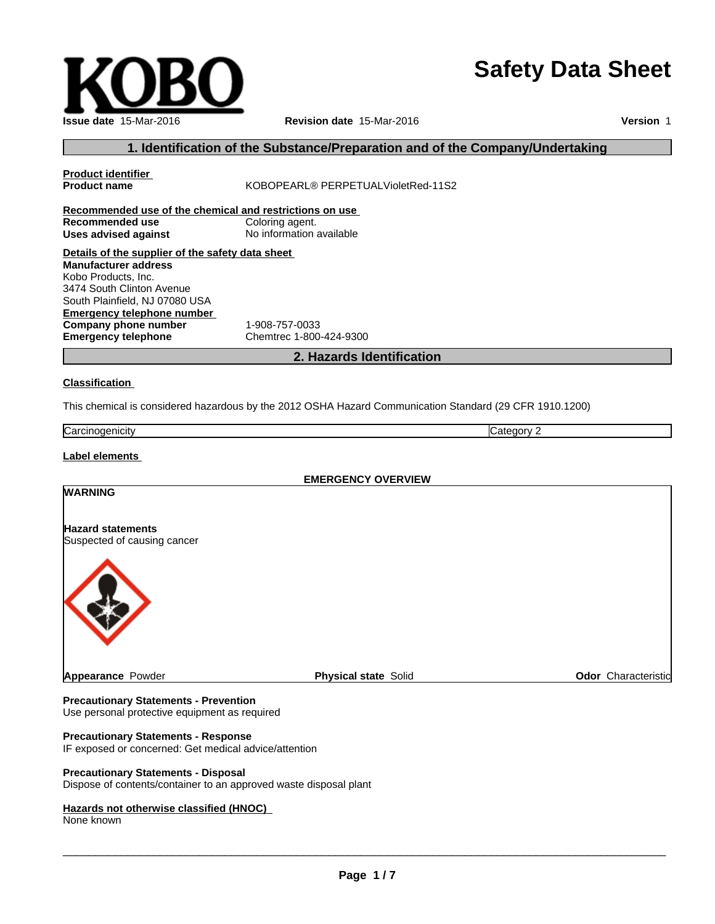# **Safety Data Sheet**

| <b>Issue date 15-Mar-2016</b> |
|-------------------------------|

**Issue date** 15-Mar-2016 **Revision date** 15-Mar-2016 **Version** 1

# **1. Identification of the Substance/Preparation and of the Company/Undertaking**

| Recommended use of the chemical and restrictions on use<br>Recommended use<br>Coloring agent.<br>No information available<br><b>Uses advised against</b><br>Details of the supplier of the safety data sheet<br><b>Manufacturer address</b><br>Kobo Products, Inc.<br>3474 South Clinton Avenue<br>South Plainfield, NJ 07080 USA<br><b>Emergency telephone number</b><br>Company phone number<br>1-908-757-0033<br><b>Emergency telephone</b><br>Chemtrec 1-800-424-9300<br>2. Hazards Identification<br><b>Classification</b><br>This chemical is considered hazardous by the 2012 OSHA Hazard Communication Standard (29 CFR 1910.1200)<br>Carcinogenicity<br>Category 2<br>Label elements<br><b>EMERGENCY OVERVIEW</b><br><b>WARNING</b><br><b>Hazard statements</b><br>Suspected of causing cancer<br>Appearance Powder<br>Odor Characteristic<br><b>Physical state Solid</b><br><b>Precautionary Statements - Prevention</b> | <b>Product identifier</b><br><b>Product name</b> | KOBOPEARL® PERPETUALVioletRed-11S2 |  |
|------------------------------------------------------------------------------------------------------------------------------------------------------------------------------------------------------------------------------------------------------------------------------------------------------------------------------------------------------------------------------------------------------------------------------------------------------------------------------------------------------------------------------------------------------------------------------------------------------------------------------------------------------------------------------------------------------------------------------------------------------------------------------------------------------------------------------------------------------------------------------------------------------------------------------------|--------------------------------------------------|------------------------------------|--|
|                                                                                                                                                                                                                                                                                                                                                                                                                                                                                                                                                                                                                                                                                                                                                                                                                                                                                                                                    |                                                  |                                    |  |
|                                                                                                                                                                                                                                                                                                                                                                                                                                                                                                                                                                                                                                                                                                                                                                                                                                                                                                                                    |                                                  |                                    |  |
|                                                                                                                                                                                                                                                                                                                                                                                                                                                                                                                                                                                                                                                                                                                                                                                                                                                                                                                                    |                                                  |                                    |  |
|                                                                                                                                                                                                                                                                                                                                                                                                                                                                                                                                                                                                                                                                                                                                                                                                                                                                                                                                    |                                                  |                                    |  |
|                                                                                                                                                                                                                                                                                                                                                                                                                                                                                                                                                                                                                                                                                                                                                                                                                                                                                                                                    |                                                  |                                    |  |
|                                                                                                                                                                                                                                                                                                                                                                                                                                                                                                                                                                                                                                                                                                                                                                                                                                                                                                                                    |                                                  |                                    |  |
|                                                                                                                                                                                                                                                                                                                                                                                                                                                                                                                                                                                                                                                                                                                                                                                                                                                                                                                                    |                                                  |                                    |  |
|                                                                                                                                                                                                                                                                                                                                                                                                                                                                                                                                                                                                                                                                                                                                                                                                                                                                                                                                    |                                                  |                                    |  |
|                                                                                                                                                                                                                                                                                                                                                                                                                                                                                                                                                                                                                                                                                                                                                                                                                                                                                                                                    |                                                  |                                    |  |
|                                                                                                                                                                                                                                                                                                                                                                                                                                                                                                                                                                                                                                                                                                                                                                                                                                                                                                                                    |                                                  |                                    |  |
|                                                                                                                                                                                                                                                                                                                                                                                                                                                                                                                                                                                                                                                                                                                                                                                                                                                                                                                                    |                                                  |                                    |  |
|                                                                                                                                                                                                                                                                                                                                                                                                                                                                                                                                                                                                                                                                                                                                                                                                                                                                                                                                    |                                                  |                                    |  |
|                                                                                                                                                                                                                                                                                                                                                                                                                                                                                                                                                                                                                                                                                                                                                                                                                                                                                                                                    |                                                  |                                    |  |
|                                                                                                                                                                                                                                                                                                                                                                                                                                                                                                                                                                                                                                                                                                                                                                                                                                                                                                                                    |                                                  |                                    |  |
|                                                                                                                                                                                                                                                                                                                                                                                                                                                                                                                                                                                                                                                                                                                                                                                                                                                                                                                                    |                                                  |                                    |  |
|                                                                                                                                                                                                                                                                                                                                                                                                                                                                                                                                                                                                                                                                                                                                                                                                                                                                                                                                    |                                                  |                                    |  |
|                                                                                                                                                                                                                                                                                                                                                                                                                                                                                                                                                                                                                                                                                                                                                                                                                                                                                                                                    |                                                  |                                    |  |
|                                                                                                                                                                                                                                                                                                                                                                                                                                                                                                                                                                                                                                                                                                                                                                                                                                                                                                                                    |                                                  |                                    |  |
|                                                                                                                                                                                                                                                                                                                                                                                                                                                                                                                                                                                                                                                                                                                                                                                                                                                                                                                                    |                                                  |                                    |  |
|                                                                                                                                                                                                                                                                                                                                                                                                                                                                                                                                                                                                                                                                                                                                                                                                                                                                                                                                    |                                                  |                                    |  |
|                                                                                                                                                                                                                                                                                                                                                                                                                                                                                                                                                                                                                                                                                                                                                                                                                                                                                                                                    |                                                  |                                    |  |
|                                                                                                                                                                                                                                                                                                                                                                                                                                                                                                                                                                                                                                                                                                                                                                                                                                                                                                                                    |                                                  |                                    |  |
|                                                                                                                                                                                                                                                                                                                                                                                                                                                                                                                                                                                                                                                                                                                                                                                                                                                                                                                                    |                                                  |                                    |  |
|                                                                                                                                                                                                                                                                                                                                                                                                                                                                                                                                                                                                                                                                                                                                                                                                                                                                                                                                    |                                                  |                                    |  |
|                                                                                                                                                                                                                                                                                                                                                                                                                                                                                                                                                                                                                                                                                                                                                                                                                                                                                                                                    |                                                  |                                    |  |
|                                                                                                                                                                                                                                                                                                                                                                                                                                                                                                                                                                                                                                                                                                                                                                                                                                                                                                                                    |                                                  |                                    |  |
|                                                                                                                                                                                                                                                                                                                                                                                                                                                                                                                                                                                                                                                                                                                                                                                                                                                                                                                                    |                                                  |                                    |  |
|                                                                                                                                                                                                                                                                                                                                                                                                                                                                                                                                                                                                                                                                                                                                                                                                                                                                                                                                    |                                                  |                                    |  |
|                                                                                                                                                                                                                                                                                                                                                                                                                                                                                                                                                                                                                                                                                                                                                                                                                                                                                                                                    |                                                  |                                    |  |
|                                                                                                                                                                                                                                                                                                                                                                                                                                                                                                                                                                                                                                                                                                                                                                                                                                                                                                                                    |                                                  |                                    |  |
|                                                                                                                                                                                                                                                                                                                                                                                                                                                                                                                                                                                                                                                                                                                                                                                                                                                                                                                                    |                                                  |                                    |  |
|                                                                                                                                                                                                                                                                                                                                                                                                                                                                                                                                                                                                                                                                                                                                                                                                                                                                                                                                    | Use personal protective equipment as required    |                                    |  |

#### **Precautionary Statements - Response**

IF exposed or concerned: Get medical advice/attention

#### **Precautionary Statements - Disposal**

Dispose of contents/container to an approved waste disposal plant

# **Hazards not otherwise classified (HNOC)**

None known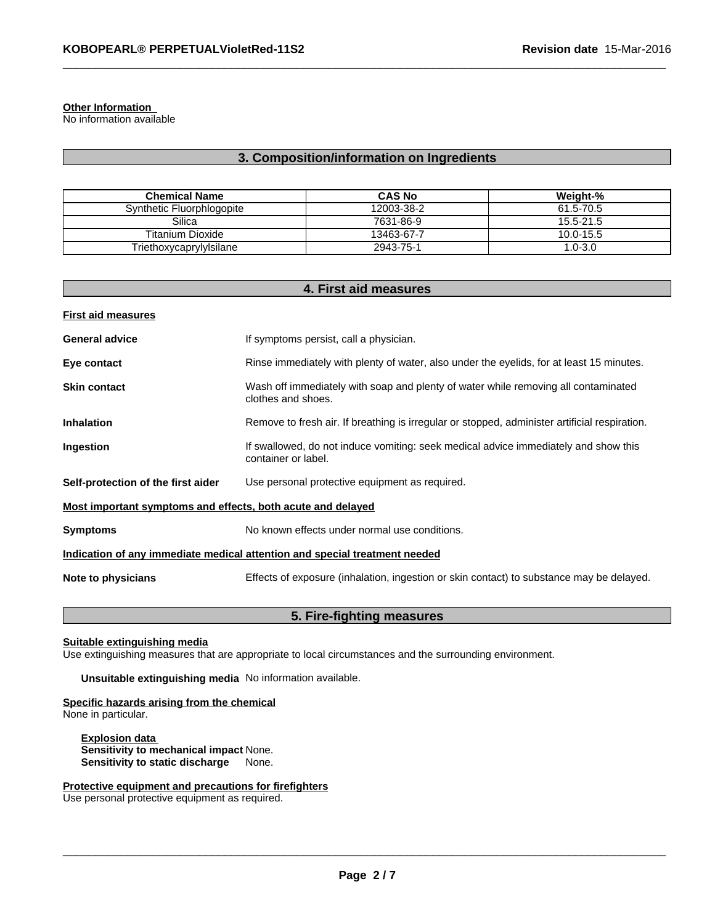## **Other Information**

No information available

# **3. Composition/information on Ingredients**

| <b>Chemical Name</b>      | <b>CAS No</b> | Weight-%    |
|---------------------------|---------------|-------------|
| Synthetic Fluorphlogopite | 12003-38-2    | 61.5-70.5   |
| Silica                    | 7631-86-9     | 15.5-21.5   |
| <b>Titanium Dioxide</b>   | 13463-67-7    | 10.0-15.5   |
| Triethoxycaprylylsilane   | 2943-75-1     | $1.0 - 3.0$ |

| 4. First aid measures                                                                |                                                                                                            |  |  |  |
|--------------------------------------------------------------------------------------|------------------------------------------------------------------------------------------------------------|--|--|--|
| <b>First aid measures</b>                                                            |                                                                                                            |  |  |  |
| <b>General advice</b>                                                                | If symptoms persist, call a physician.                                                                     |  |  |  |
| Eye contact                                                                          | Rinse immediately with plenty of water, also under the eyelids, for at least 15 minutes.                   |  |  |  |
| <b>Skin contact</b>                                                                  | Wash off immediately with soap and plenty of water while removing all contaminated<br>clothes and shoes.   |  |  |  |
| <b>Inhalation</b>                                                                    | Remove to fresh air. If breathing is irregular or stopped, administer artificial respiration.              |  |  |  |
| Ingestion                                                                            | If swallowed, do not induce vomiting: seek medical advice immediately and show this<br>container or label. |  |  |  |
| Self-protection of the first aider<br>Use personal protective equipment as required. |                                                                                                            |  |  |  |
| Most important symptoms and effects, both acute and delayed                          |                                                                                                            |  |  |  |
| <b>Symptoms</b>                                                                      | No known effects under normal use conditions.                                                              |  |  |  |
|                                                                                      | Indication of any immediate medical attention and special treatment needed                                 |  |  |  |
| Note to physicians                                                                   | Effects of exposure (inhalation, ingestion or skin contact) to substance may be delayed.                   |  |  |  |

# **5. Fire-fighting measures**

### **Suitable extinguishing media**

Use extinguishing measures that are appropriate to local circumstances and the surrounding environment.

**Unsuitable extinguishing media** No information available.

#### **Specific hazards arising from the chemical** None in particular.

**Explosion data Sensitivity to mechanical impact** None. **Sensitivity to static discharge** None.

# **Protective equipment and precautions for firefighters**

Use personal protective equipment as required.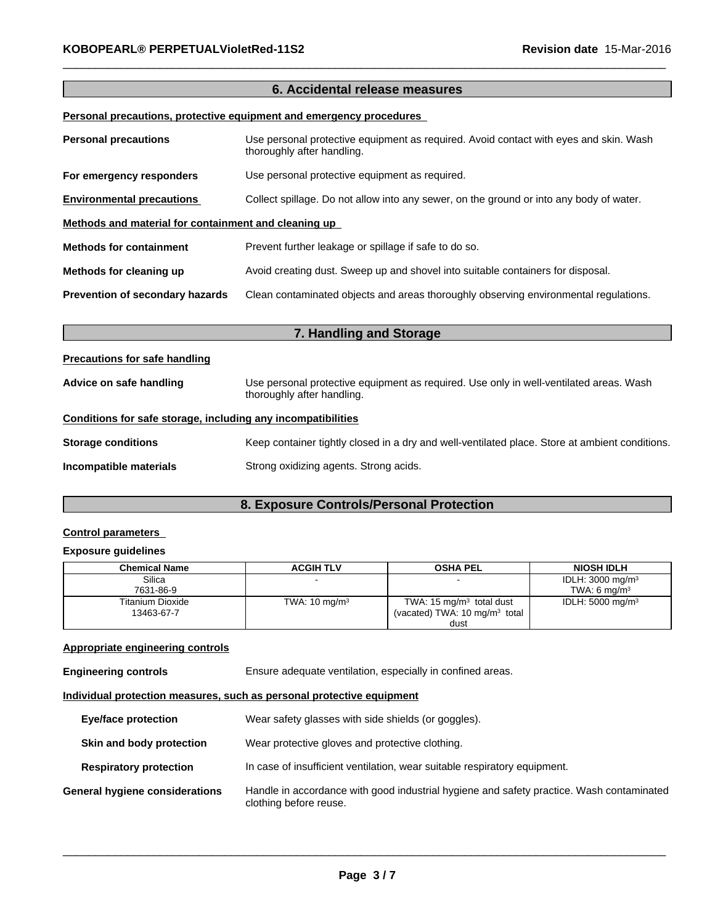# **6. Accidental release measures Personal precautions, protective equipment and emergency procedures**

| <b>Personal precautions</b>                          | Use personal protective equipment as required. Avoid contact with eyes and skin. Wash<br>thoroughly after handling. |
|------------------------------------------------------|---------------------------------------------------------------------------------------------------------------------|
| For emergency responders                             | Use personal protective equipment as required.                                                                      |
| <b>Environmental precautions</b>                     | Collect spillage. Do not allow into any sewer, on the ground or into any body of water.                             |
| Methods and material for containment and cleaning up |                                                                                                                     |
| <b>Methods for containment</b>                       | Prevent further leakage or spillage if safe to do so.                                                               |
| Methods for cleaning up                              | Avoid creating dust. Sweep up and shovel into suitable containers for disposal.                                     |
| <b>Prevention of secondary hazards</b>               | Clean contaminated objects and areas thoroughly observing environmental regulations.                                |

| <b>Precautions for safe handling</b>                         |                                                                                                                      |
|--------------------------------------------------------------|----------------------------------------------------------------------------------------------------------------------|
| Advice on safe handling                                      | Use personal protective equipment as required. Use only in well-ventilated areas. Wash<br>thoroughly after handling. |
| Conditions for safe storage, including any incompatibilities |                                                                                                                      |
| <b>Storage conditions</b>                                    | Keep container tightly closed in a dry and well-ventilated place. Store at ambient conditions.                       |
| Incompatible materials                                       | Strong oxidizing agents. Strong acids.                                                                               |

**7. Handling and Storage**

# **8. Exposure Controls/Personal Protection**

# **Control parameters**

## **Exposure guidelines**

| <b>Chemical Name</b> | <b>ACGIH TLV</b>         | <b>OSHA PEL</b>                          | <b>NIOSH IDLH</b>           |
|----------------------|--------------------------|------------------------------------------|-----------------------------|
| Silica               |                          |                                          | IDLH: $3000 \text{ mg/m}^3$ |
| 7631-86-9            |                          |                                          | TWA: 6 $ma/m3$              |
| Titanium Dioxide     | TWA: $10 \text{ mg/m}^3$ | TWA: 15 $mg/m3$ total dust               | IDLH: $5000 \text{ mg/m}^3$ |
| 13463-67-7           |                          | (vacated) TWA: $10 \text{ mg/m}^3$ total |                             |
|                      |                          | dust                                     |                             |

# **Appropriate engineering controls**

**Engineering controls** Ensure adequate ventilation, especially in confined areas.

# **Individual protection measures, such as personal protective equipment**

| <b>Eye/face protection</b>     | Wear safety glasses with side shields (or goggles).                                                                |
|--------------------------------|--------------------------------------------------------------------------------------------------------------------|
| Skin and body protection       | Wear protective gloves and protective clothing.                                                                    |
| <b>Respiratory protection</b>  | In case of insufficient ventilation, wear suitable respiratory equipment.                                          |
| General hygiene considerations | Handle in accordance with good industrial hygiene and safety practice. Wash contaminated<br>clothing before reuse. |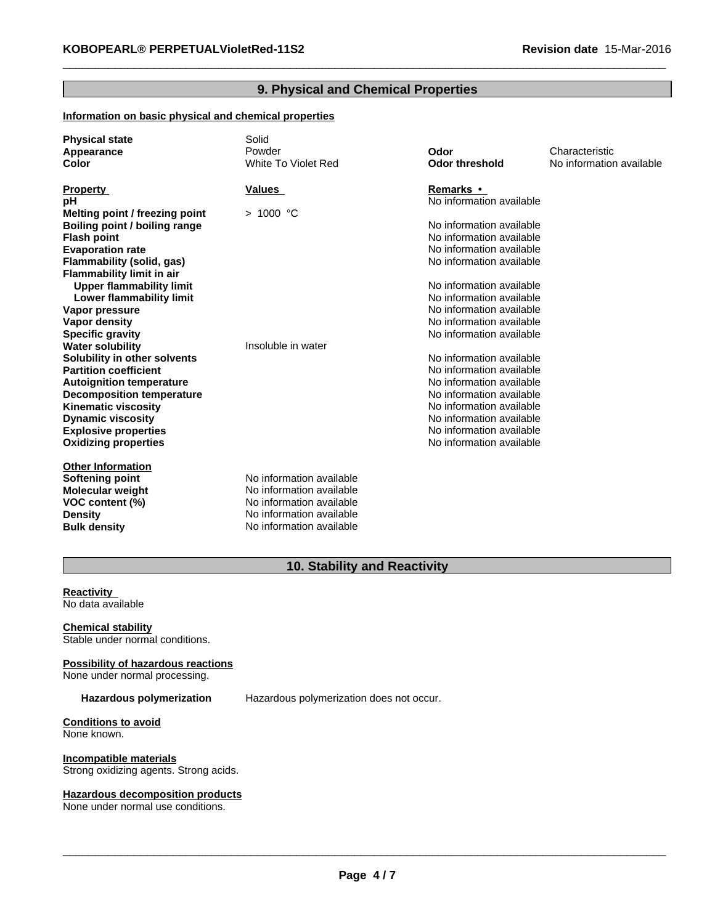# **9. Physical and Chemical Properties**

# **Information on basic physical and chemical properties**

| <b>Physical state</b>            | Solid                      |                          |                          |
|----------------------------------|----------------------------|--------------------------|--------------------------|
| Appearance                       | Powder                     | Odor                     | Characteristic           |
| Color                            | <b>White To Violet Red</b> | <b>Odor threshold</b>    | No information available |
|                                  |                            |                          |                          |
| <b>Property</b>                  | Values                     | <b>Remarks</b> •         |                          |
| рH                               |                            | No information available |                          |
| Melting point / freezing point   | $>1000$ °C                 |                          |                          |
| Boiling point / boiling range    |                            | No information available |                          |
| <b>Flash point</b>               |                            | No information available |                          |
| <b>Evaporation rate</b>          |                            | No information available |                          |
| Flammability (solid, gas)        |                            | No information available |                          |
| <b>Flammability limit in air</b> |                            |                          |                          |
| <b>Upper flammability limit</b>  |                            | No information available |                          |
| Lower flammability limit         |                            | No information available |                          |
| Vapor pressure                   |                            | No information available |                          |
| Vapor density                    |                            | No information available |                          |
| <b>Specific gravity</b>          |                            | No information available |                          |
| <b>Water solubility</b>          | Insoluble in water         |                          |                          |
| Solubility in other solvents     |                            | No information available |                          |
| <b>Partition coefficient</b>     |                            | No information available |                          |
| <b>Autoignition temperature</b>  |                            | No information available |                          |
| <b>Decomposition temperature</b> |                            | No information available |                          |
| <b>Kinematic viscosity</b>       |                            | No information available |                          |
| <b>Dynamic viscosity</b>         |                            | No information available |                          |
| <b>Explosive properties</b>      |                            | No information available |                          |
| <b>Oxidizing properties</b>      |                            | No information available |                          |
| <b>Other Information</b>         |                            |                          |                          |
| Softening point                  | No information available   |                          |                          |
| <b>Molecular weight</b>          | No information available   |                          |                          |
| VOC content (%)                  | No information available   |                          |                          |
| <b>Density</b>                   | No information available   |                          |                          |
| <b>Bulk density</b>              | No information available   |                          |                          |
|                                  |                            |                          |                          |

# **10. Stability and Reactivity**

#### **Reactivity** No data available

**Chemical stability** Stable under normal conditions.

# **Possibility of hazardous reactions**

None under normal processing.

Hazardous polymerization Hazardous polymerization does not occur.

#### **Conditions to avoid** None known.

**Incompatible materials** Strong oxidizing agents. Strong acids.

#### **Hazardous decomposition products**

None under normal use conditions.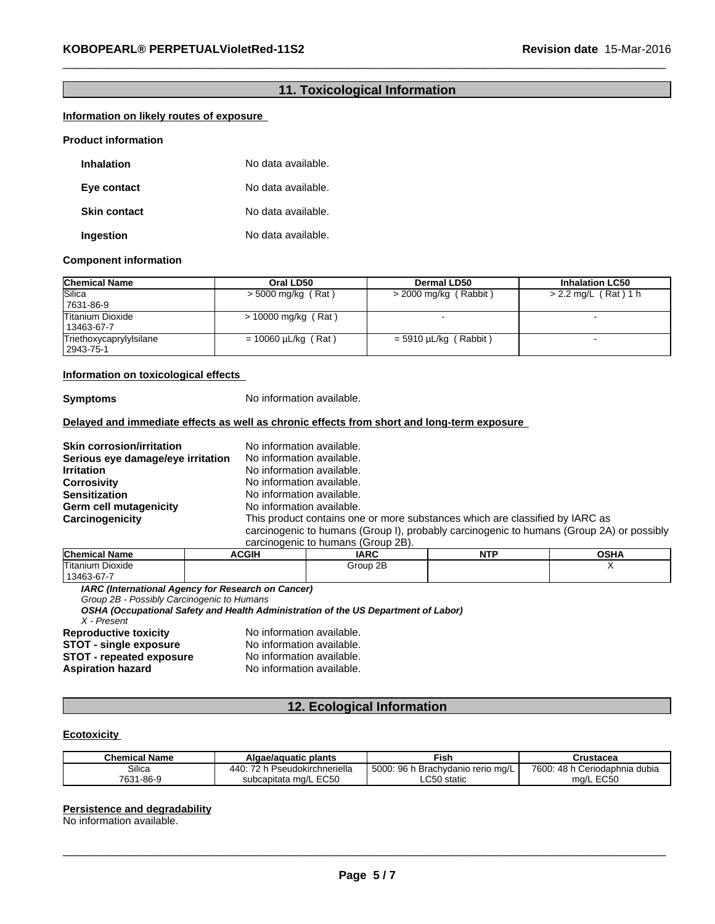# **11. Toxicological Information**

# **Information on likely routes of exposure Product information**

| <b>Inhalation</b>   | No data available. |
|---------------------|--------------------|
| Eye contact         | No data available. |
| <b>Skin contact</b> | No data available. |
| Ingestion           | No data available. |

#### **Component information**

| <b>Chemical Name</b>    | Oral LD50                | <b>Dermal LD50</b>      | <b>Inhalation LC50</b> |
|-------------------------|--------------------------|-------------------------|------------------------|
| Silica                  | > 5000 mg/kg (Rat)       | > 2000 mg/kg (Rabbit)   | > 2.2 mg/L (Rat) 1 h   |
| 7631-86-9               |                          |                         |                        |
| Titanium Dioxide        | $> 10000$ mg/kg (Rat)    |                         |                        |
| 13463-67-7              |                          |                         |                        |
| Triethoxycaprylylsilane | $= 10060 \mu L/kg$ (Rat) | $=$ 5910 µL/kg (Rabbit) |                        |
| 2943-75-1               |                          |                         |                        |

#### **Information on toxicological effects**

**Symptoms** No information available.

## **Delayed and immediate effects as well as chronic effects from short and long-term exposure**

**Skin corrosion/irritation** No information available. **Serious eye damage/eye irritation** No information available. **Irritation** No information available. **Corrosivity Corrosivity** No information available.<br> **Sensitization** No information available. No information available.<br>No information available. **Germ cell mutagenicity<br>Carcinogenicity** This product contains one or more substances which are classified by IARC as carcinogenic to humans (Group I), probably carcinogenic to humans (Group 2A) or possibly carcinogenic to humans (Group 2B).

| <b>Chemical Name</b> | <b>\CGIH</b> | <b>IARC</b>    | .<br>. | ∩ເ⊔າ<br>אחט∪ |
|----------------------|--------------|----------------|--------|--------------|
| Titanium Dioxide     |              | റ⊏<br>Group 2B |        |              |
| 13463-67-7           |              |                |        |              |

*IARC (International Agency for Research on Cancer)*

*Group 2B - Possibly Carcinogenic to Humans*

*OSHA (Occupational Safety and Health Administration of the US Department of Labor)*

*X - Present*

**STOT - single exposure** No information available.<br>**STOT - repeated exposure** No information available. **STOT - repeated exposure<br>Aspiration hazard** 

**Reproductive toxicity** No information available.<br> **STOT - single exposure** No information available. **No information available.** 

# **12. Ecological Information**

#### **Ecotoxicity**

| <b>Chemical Name</b> | Algae/aguatic plants                | Fish                                        | Crustacea                             |
|----------------------|-------------------------------------|---------------------------------------------|---------------------------------------|
| Silica               | 440<br>$\sim$<br>udokirchneriella   | 96.<br>5000<br>hvdanio rerio mɑ/L<br>3rach\ | 7600.<br>48 h<br>. Ceriodaphnia dubia |
| 7021<br>1-86-9<br>ື  | ະດະເ<br>subcapitata mg/L<br>76 G.V. | $\mathbf{a} = \mathbf{a}$<br>statio<br>∟∪∪∪ | $-0.00$<br>ma<br>ㄴ ㄴㄴい                |

#### **Persistence and degradability**

No information available.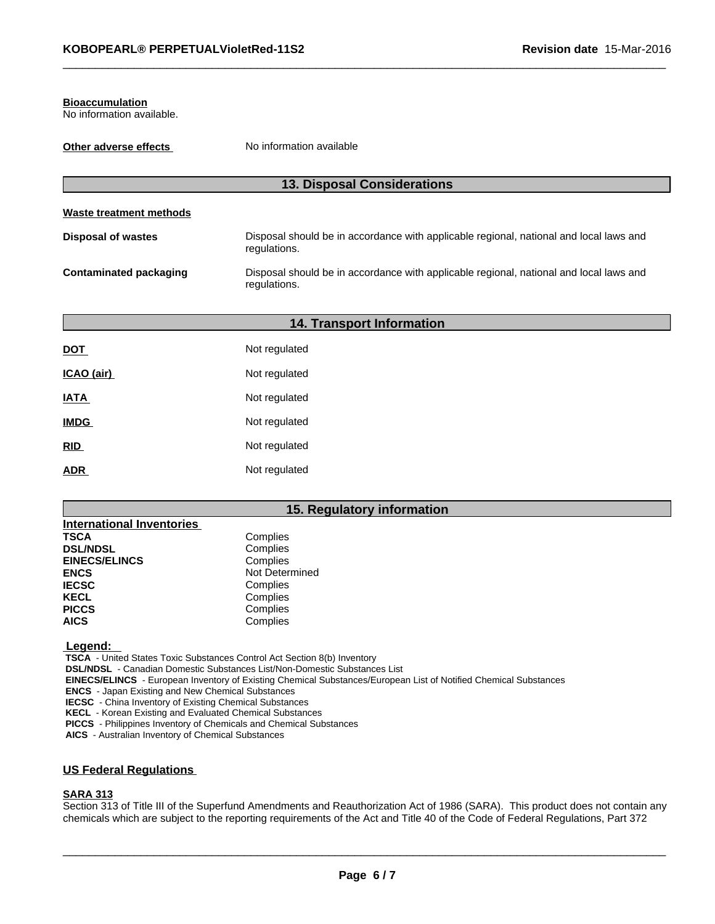#### **Bioaccumulation**

No information available.

| Other adverse effects         | No information available                                                                               |
|-------------------------------|--------------------------------------------------------------------------------------------------------|
|                               | <b>13. Disposal Considerations</b>                                                                     |
| Waste treatment methods       |                                                                                                        |
| <b>Disposal of wastes</b>     | Disposal should be in accordance with applicable regional, national and local laws and<br>regulations. |
| <b>Contaminated packaging</b> | Disposal should be in accordance with applicable regional, national and local laws and<br>regulations. |

| <b>14. Transport Information</b> |               |  |  |  |
|----------------------------------|---------------|--|--|--|
| <u>DOT</u>                       | Not regulated |  |  |  |
| ICAO (air)                       | Not regulated |  |  |  |
| <b>IATA</b>                      | Not regulated |  |  |  |
| <b>IMDG</b>                      | Not regulated |  |  |  |
| <u>RID</u>                       | Not regulated |  |  |  |
| <u>ADR</u>                       | Not regulated |  |  |  |

# **15. Regulatory information**

| <b>International Inventories</b> |                |
|----------------------------------|----------------|
| <b>TSCA</b>                      | Complies       |
| <b>DSL/NDSL</b>                  | Complies       |
| <b>EINECS/ELINCS</b>             | Complies       |
| <b>ENCS</b>                      | Not Determined |
| <b>IECSC</b>                     | Complies       |
| <b>KECL</b>                      | Complies       |
| <b>PICCS</b>                     | Complies       |
| <b>AICS</b>                      | Complies       |

 **Legend:** 

 **TSCA** - United States Toxic Substances Control Act Section 8(b) Inventory

 **DSL/NDSL** - Canadian Domestic Substances List/Non-Domestic Substances List

 **EINECS/ELINCS** - European Inventory of Existing Chemical Substances/European List of Notified Chemical Substances

 **ENCS** - Japan Existing and New Chemical Substances

 **IECSC** - China Inventory of Existing Chemical Substances

 **KECL** - Korean Existing and Evaluated Chemical Substances

 **PICCS** - Philippines Inventory of Chemicals and Chemical Substances

 **AICS** - Australian Inventory of Chemical Substances

# **US Federal Regulations**

# **SARA 313**

Section 313 of Title III of the Superfund Amendments and Reauthorization Act of 1986 (SARA). This product does not contain any chemicals which are subject to the reporting requirements of the Act and Title 40 of the Code of Federal Regulations, Part 372